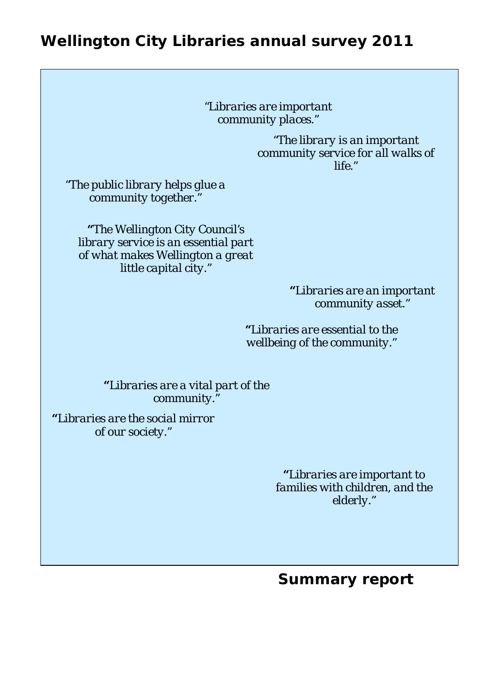# **Wellington City Libraries annual survey 2011**

*"Libraries are important community places."* 

> *"The library is an important community service for all walks of life."*

*"The public library helps glue a community together."* 

*"The Wellington City Council's library service is an essential part of what makes Wellington a great little capital city."* 

> *"Libraries are an important community asset."*

*"Libraries are essential to the wellbeing of the community."* 

*"Libraries are a vital part of the community."* 

*"Libraries are the social mirror of our society."* 

> *"Libraries are important to families with children, and the elderly."*

# **Summary report**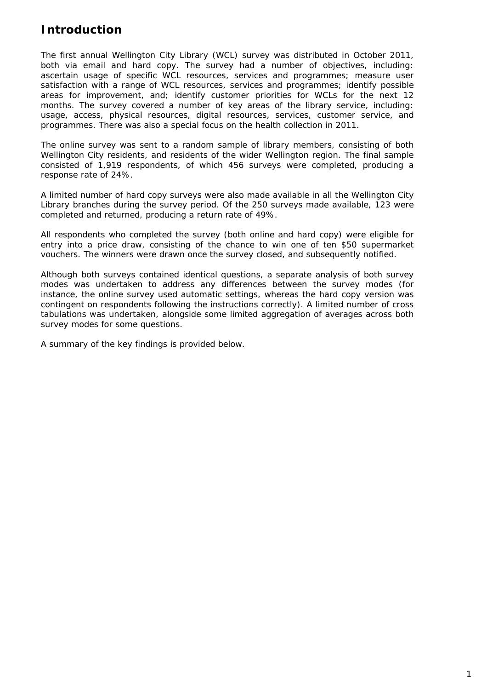# **Introduction**

The first annual Wellington City Library (WCL) survey was distributed in October 2011, both via email and hard copy. The survey had a number of objectives, including: ascertain usage of specific WCL resources, services and programmes; measure user satisfaction with a range of WCL resources, services and programmes; identify possible areas for improvement, and; identify customer priorities for WCLs for the next 12 months. The survey covered a number of key areas of the library service, including: usage, access, physical resources, digital resources, services, customer service, and programmes. There was also a special focus on the health collection in 2011.

The online survey was sent to a random sample of library members, consisting of both Wellington City residents, and residents of the wider Wellington region. The final sample consisted of 1,919 respondents, of which 456 surveys were completed, producing a response rate of 24%.

A limited number of hard copy surveys were also made available in all the Wellington City Library branches during the survey period. Of the 250 surveys made available, 123 were completed and returned, producing a return rate of 49%.

All respondents who completed the survey (both online and hard copy) were eligible for entry into a price draw, consisting of the chance to win one of ten \$50 supermarket vouchers. The winners were drawn once the survey closed, and subsequently notified.

Although both surveys contained identical questions, a separate analysis of both survey modes was undertaken to address any differences between the survey modes (for instance, the online survey used automatic settings, whereas the hard copy version was contingent on respondents following the instructions correctly). A limited number of cross tabulations was undertaken, alongside some limited aggregation of averages across both survey modes for some questions.

A summary of the key findings is provided below.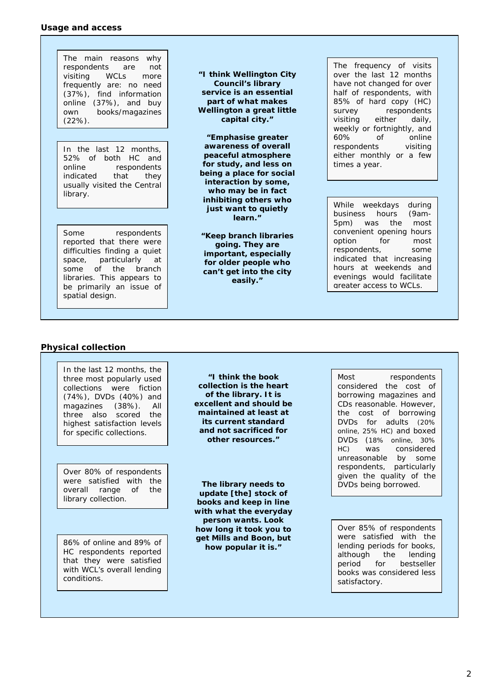#### **Usage and access**

The main reasons why respondents are not visiting WCLs more frequently are: no need (37%), find information online (37%), and buy own books/magazines (22%).

In the last 12 months, 52% of both HC and online respondents indicated that they usually visited the Central library.

Some respondents reported that there were difficulties finding a quiet space, particularly at some of the branch libraries. This appears to be primarily an issue of spatial design.

*"I think Wellington City Council's library service is an essential part of what makes Wellington a great little capital city."* 

*"Emphasise greater awareness of overall peaceful atmosphere for study, and less on being a place for social interaction by some, who may be in fact inhibiting others who just want to quietly learn."* 

*"Keep branch libraries going. They are important, especially for older people who can't get into the city easily."* 

The frequency of visits over the last 12 months have not changed for over half of respondents, with 85% of hard copy (HC) survey respondents visiting either daily, weekly or fortnightly, and 60% of online respondents visiting either monthly or a few times a year.

While weekdays during business hours (9am-5pm) was the most convenient opening hours option for most respondents, some indicated that increasing hours at weekends and evenings would facilitate greater access to WCLs.

# **Physical collection**

In the last 12 months, the three most popularly used collections were fiction (74%), DVDs (40%) and magazines (38%). All three also scored the highest satisfaction levels for specific collections.

Over 80% of respondents were satisfied with the overall range of the library collection.

86% of online and 89% of HC respondents reported that they were satisfied with WCL's overall lending conditions.

*"I think the book collection is the heart of the library. It is excellent and should be maintained at least at its current standard and not sacrificed for other resources."* 

*The library needs to update [the] stock of books and keep in line with what the everyday person wants. Look how long it took you to get Mills and Boon, but how popular it is."* 

Most respondents considered the cost of borrowing magazines and CDs reasonable. However, the cost of borrowing DVDs for adults (20% online, 25% HC) and boxed DVDs (18% online, 30% HC) was considered unreasonable by some respondents, particularly given the quality of the DVDs being borrowed.

Over 85% of respondents were satisfied with the lending periods for books, although the lending period for bestseller books was considered less satisfactory.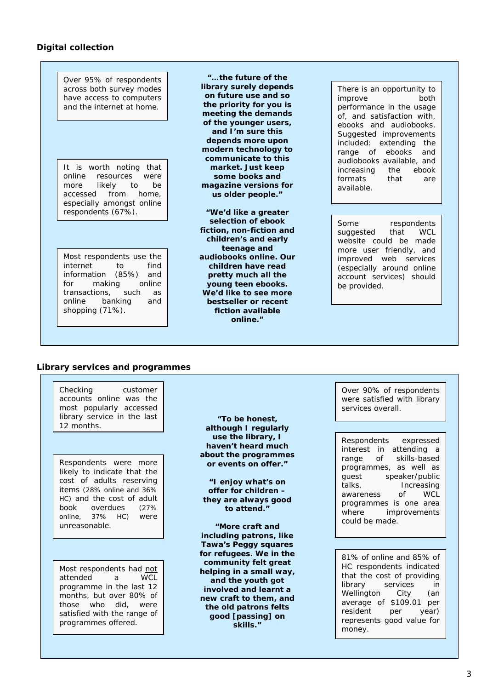## **Digital collection**

Over 95% of respondents across both survey modes have access to computers and the internet at home.

It is worth noting that online resources were more likely to be accessed from home, especially amongst online respondents (67%).

Most respondents use the internet to find information (85%) and for making online transactions, such as online banking and shopping (71%).

*"…the future of the library surely depends on future use and so the priority for you is meeting the demands of the younger users, and I'm sure this depends more upon modern technology to communicate to this market. Just keep some books and magazine versions for us older people."* 

*"We'd like a greater selection of ebook fiction, non-fiction and children's and early teenage and audiobooks online. Our children have read pretty much all the young teen ebooks. We'd like to see more bestseller or recent fiction available online."* 

There is an opportunity to improve both performance in the usage of, and satisfaction with, ebooks and audiobooks. Suggested improvements included: extending the range of ebooks and audiobooks available, and increasing the ebook formats that are available.

Some respondents suggested that WCL website could be made more user friendly, and improved web services (especially around online account services) should be provided.

### **Library services and programmes**

Checking customer accounts online was the most popularly accessed library service in the last 12 months.

Respondents were more likely to indicate that the cost of adults reserving items (28% online and 36% HC) and the cost of adult book overdues (27% online, 37% HC) were unreasonable.

Most respondents had not attended a WCL programme in the last 12 months, but over 80% of those who did, were satisfied with the range of programmes offered.

*"To be honest, although I regularly use the library, I haven't heard much about the programmes or events on offer."* 

*"I enjoy what's on offer for children – they are always good to attend."* 

*"More craft and including patrons, like Tawa's Peggy squares for refugees. We in the community felt great helping in a small way, and the youth got involved and learnt a new craft to them, and the old patrons felts good [passing] on skills."* 

Over 90% of respondents were satisfied with library services overall.

Respondents expressed interest in attending a range of skills-based programmes, as well as guest speaker/public talks. Increasing awareness of WCL programmes is one area where improvements could be made.

81% of online and 85% of HC respondents indicated that the cost of providing library services in Wellington City (an average of \$109.01 per resident per year) represents good value for money.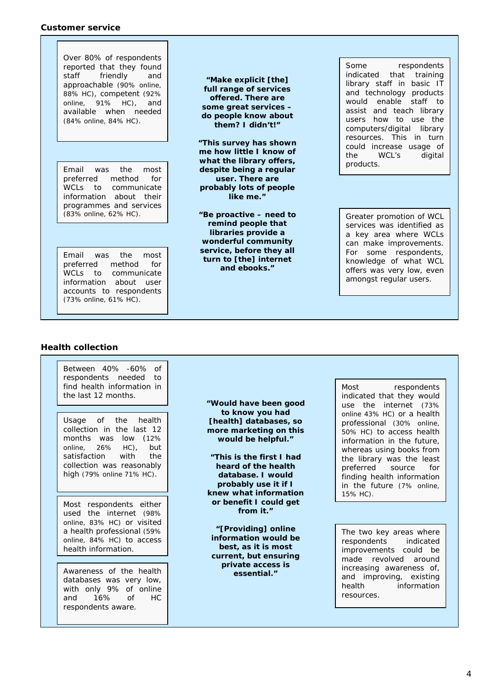#### **Customer service**

Over 80% of respondents reported that they found staff friendly and approachable (90% online, 88% HC), competent (92% online, 91% HC), and available when needed (84% online, 84% HC).

preferred method for WCLs to communicate information about their programmes and services (83% online, 62% HC).

Email was the most preferred method for WCLs to communicate information about user accounts to respondents (73% online, 61% HC).

*"Make explicit [the] full range of services offered. There are some great services – do people know about them? I didn't!"* 

**Email was the most and the movies of the most of the most of the most of the most of the most of the most of the most of the most of the most of the most of the most of the most of the most of the most of the most of the** *"This survey has shown me how little I know of what the library offers, user. There are probably lots of people like me."* 

> *"Be proactive – need to remind people that libraries provide a wonderful community service, before they all turn to [the] internet and ebooks."*

Some respondents indicated that training library staff in basic IT and technology products would enable staff to assist and teach library users how to use the computers/digital library resources. This in turn could increase usage of the WCL's digital

Greater promotion of WCL services was identified as a key area where WCLs can make improvements. For some respondents, knowledge of what WCL offers was very low, even amongst regular users.

# **Health collection**

Awareness of the health databases was very low, with only 9% of online and 16% of HC respondents aware. Most respondents either used the internet (98% online, 83% HC) or visited a health professional (59% online, 84% HC) to access health information. Between 40% -60% of respondents needed to find health information in the last 12 months. Usage of the health collection in the last 12 months was low (12% online, 26% HC), but satisfaction with the collection was reasonably high (79% online 71% HC).

*"Would have been good to know you had [health] databases, so more marketing on this would be helpful."* 

*"This is the first I had heard of the health database. I would probably use it if I knew what information or benefit I could get from it."* 

*"[Providing] online information would be best, as it is most current, but ensuring private access is essential."* 

Most respondents indicated that they would use the internet (73% online 43% HC) or a health professional (30% online, 50% HC) to access health information in the future, whereas using books from the library was the least preferred source for finding health information in the future (7% online, 15% HC).

The two key areas where respondents indicated improvements could be made revolved around increasing awareness of, and improving, existing health information resources.